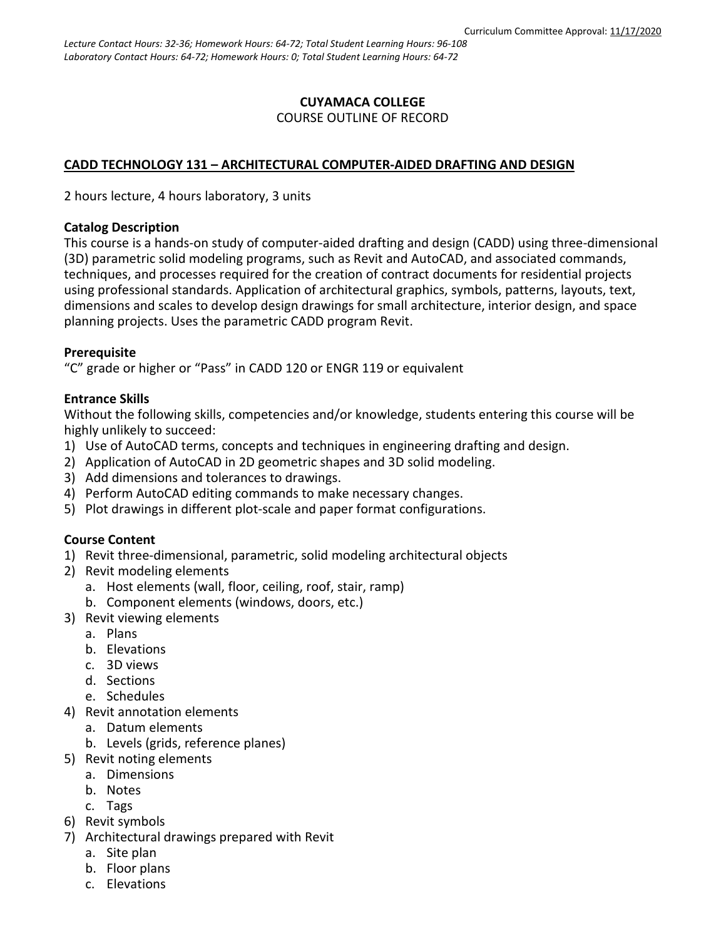### **CUYAMACA COLLEGE** COURSE OUTLINE OF RECORD

# **CADD TECHNOLOGY 131 – ARCHITECTURAL COMPUTER-AIDED DRAFTING AND DESIGN**

2 hours lecture, 4 hours laboratory, 3 units

### **Catalog Description**

This course is a hands-on study of computer-aided drafting and design (CADD) using three-dimensional (3D) parametric solid modeling programs, such as Revit and AutoCAD, and associated commands, techniques, and processes required for the creation of contract documents for residential projects using professional standards. Application of architectural graphics, symbols, patterns, layouts, text, dimensions and scales to develop design drawings for small architecture, interior design, and space planning projects. Uses the parametric CADD program Revit.

### **Prerequisite**

"C" grade or higher or "Pass" in CADD 120 or ENGR 119 or equivalent

## **Entrance Skills**

Without the following skills, competencies and/or knowledge, students entering this course will be highly unlikely to succeed:

- 1) Use of AutoCAD terms, concepts and techniques in engineering drafting and design.
- 2) Application of AutoCAD in 2D geometric shapes and 3D solid modeling.
- 3) Add dimensions and tolerances to drawings.
- 4) Perform AutoCAD editing commands to make necessary changes.
- 5) Plot drawings in different plot-scale and paper format configurations.

# **Course Content**

- 1) Revit three-dimensional, parametric, solid modeling architectural objects
- 2) Revit modeling elements
	- a. Host elements (wall, floor, ceiling, roof, stair, ramp)
	- b. Component elements (windows, doors, etc.)
- 3) Revit viewing elements
	- a. Plans
	- b. Elevations
	- c. 3D views
	- d. Sections
	- e. Schedules
- 4) Revit annotation elements
	- a. Datum elements
	- b. Levels (grids, reference planes)
- 5) Revit noting elements
	- a. Dimensions
	- b. Notes
	- c. Tags
- 6) Revit symbols
- 7) Architectural drawings prepared with Revit
	- a. Site plan
	- b. Floor plans
	- c. Elevations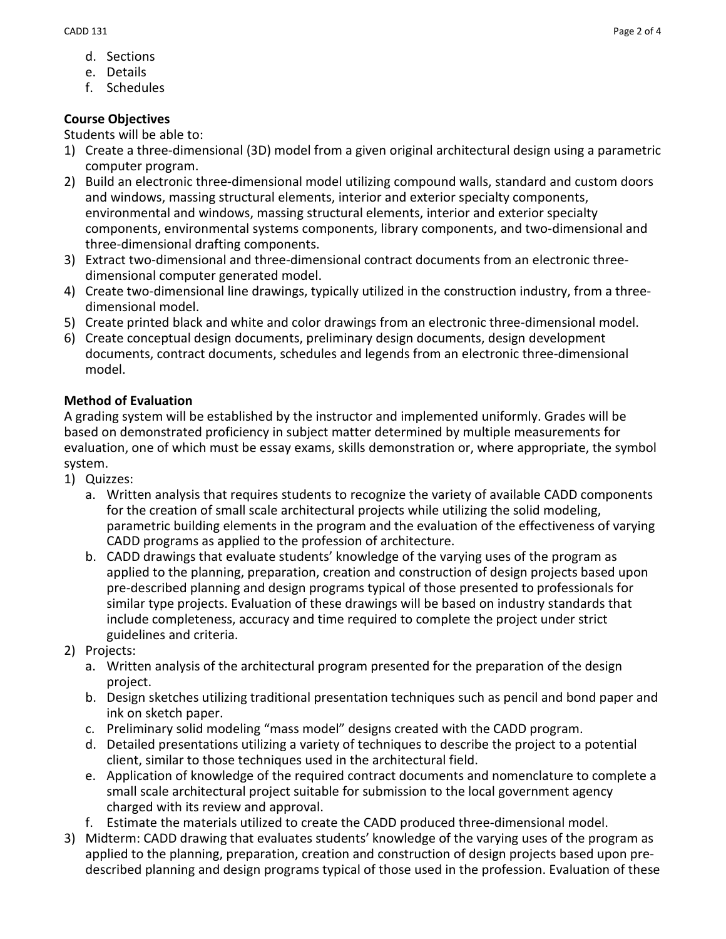- d. Sections
- e. Details
- f. Schedules

# **Course Objectives**

Students will be able to:

- 1) Create a three-dimensional (3D) model from a given original architectural design using a parametric computer program.
- 2) Build an electronic three-dimensional model utilizing compound walls, standard and custom doors and windows, massing structural elements, interior and exterior specialty components, environmental and windows, massing structural elements, interior and exterior specialty components, environmental systems components, library components, and two-dimensional and three-dimensional drafting components.
- 3) Extract two-dimensional and three-dimensional contract documents from an electronic threedimensional computer generated model.
- 4) Create two-dimensional line drawings, typically utilized in the construction industry, from a threedimensional model.
- 5) Create printed black and white and color drawings from an electronic three-dimensional model.
- 6) Create conceptual design documents, preliminary design documents, design development documents, contract documents, schedules and legends from an electronic three-dimensional model.

# **Method of Evaluation**

A grading system will be established by the instructor and implemented uniformly. Grades will be based on demonstrated proficiency in subject matter determined by multiple measurements for evaluation, one of which must be essay exams, skills demonstration or, where appropriate, the symbol system.

- 1) Quizzes:
	- a. Written analysis that requires students to recognize the variety of available CADD components for the creation of small scale architectural projects while utilizing the solid modeling, parametric building elements in the program and the evaluation of the effectiveness of varying CADD programs as applied to the profession of architecture.
	- b. CADD drawings that evaluate students' knowledge of the varying uses of the program as applied to the planning, preparation, creation and construction of design projects based upon pre-described planning and design programs typical of those presented to professionals for similar type projects. Evaluation of these drawings will be based on industry standards that include completeness, accuracy and time required to complete the project under strict guidelines and criteria.
- 2) Projects:
	- a. Written analysis of the architectural program presented for the preparation of the design project.
	- b. Design sketches utilizing traditional presentation techniques such as pencil and bond paper and ink on sketch paper.
	- c. Preliminary solid modeling "mass model" designs created with the CADD program.
	- d. Detailed presentations utilizing a variety of techniques to describe the project to a potential client, similar to those techniques used in the architectural field.
	- e. Application of knowledge of the required contract documents and nomenclature to complete a small scale architectural project suitable for submission to the local government agency charged with its review and approval.
	- f. Estimate the materials utilized to create the CADD produced three-dimensional model.
- 3) Midterm: CADD drawing that evaluates students' knowledge of the varying uses of the program as applied to the planning, preparation, creation and construction of design projects based upon predescribed planning and design programs typical of those used in the profession. Evaluation of these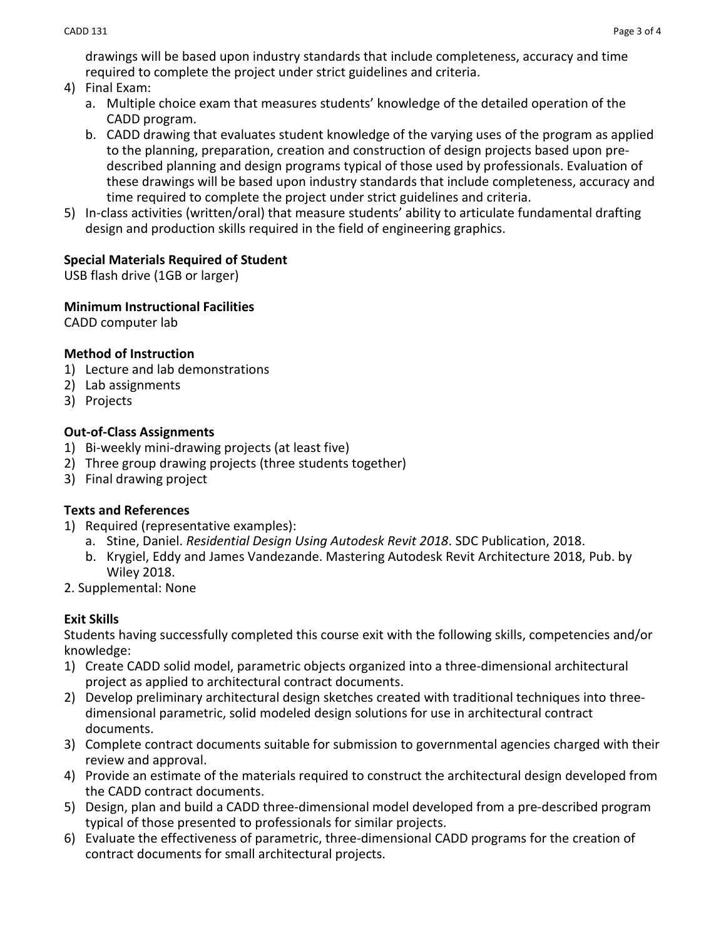drawings will be based upon industry standards that include completeness, accuracy and time required to complete the project under strict guidelines and criteria.

- 4) Final Exam:
	- a. Multiple choice exam that measures students' knowledge of the detailed operation of the CADD program.
	- b. CADD drawing that evaluates student knowledge of the varying uses of the program as applied to the planning, preparation, creation and construction of design projects based upon predescribed planning and design programs typical of those used by professionals. Evaluation of these drawings will be based upon industry standards that include completeness, accuracy and time required to complete the project under strict guidelines and criteria.
- 5) In-class activities (written/oral) that measure students' ability to articulate fundamental drafting design and production skills required in the field of engineering graphics.

## **Special Materials Required of Student**

USB flash drive (1GB or larger)

### **Minimum Instructional Facilities**

CADD computer lab

## **Method of Instruction**

- 1) Lecture and lab demonstrations
- 2) Lab assignments
- 3) Projects

## **Out-of-Class Assignments**

- 1) Bi-weekly mini-drawing projects (at least five)
- 2) Three group drawing projects (three students together)
- 3) Final drawing project

### **Texts and References**

- 1) Required (representative examples):
	- a. Stine, Daniel. *Residential Design Using Autodesk Revit 2018*. SDC Publication, 2018.
	- b. Krygiel, Eddy and James Vandezande. Mastering Autodesk Revit Architecture 2018, Pub. by Wiley 2018.
- 2. Supplemental: None

# **Exit Skills**

Students having successfully completed this course exit with the following skills, competencies and/or knowledge:

- 1) Create CADD solid model, parametric objects organized into a three-dimensional architectural project as applied to architectural contract documents.
- 2) Develop preliminary architectural design sketches created with traditional techniques into threedimensional parametric, solid modeled design solutions for use in architectural contract documents.
- 3) Complete contract documents suitable for submission to governmental agencies charged with their review and approval.
- 4) Provide an estimate of the materials required to construct the architectural design developed from the CADD contract documents.
- 5) Design, plan and build a CADD three-dimensional model developed from a pre-described program typical of those presented to professionals for similar projects.
- 6) Evaluate the effectiveness of parametric, three-dimensional CADD programs for the creation of contract documents for small architectural projects.